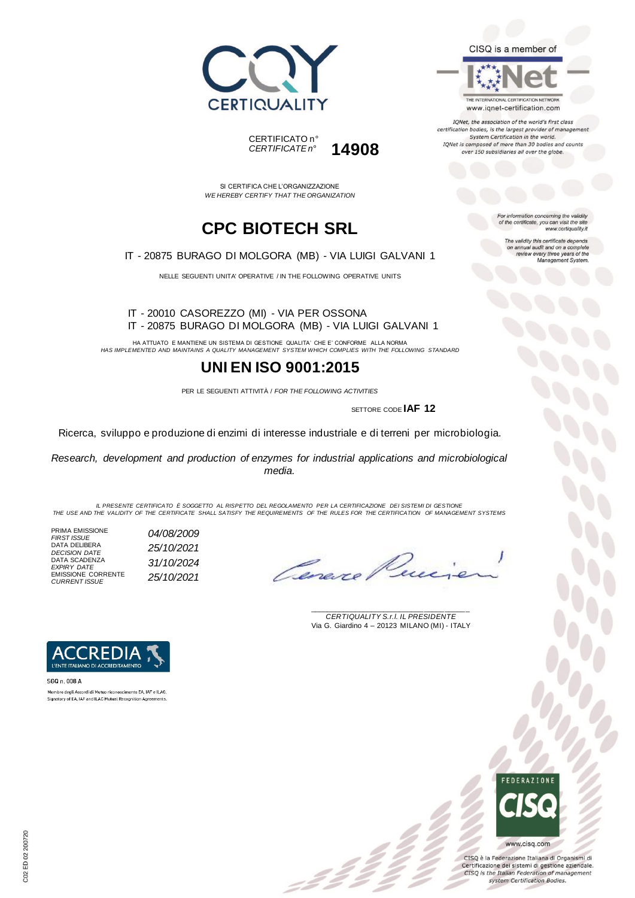



SI CERTIFICA CHE L'ORGANIZZAZIONE *WE HEREBY CERTIFY THAT THE ORGANIZATION*

# **CPC BIOTECH SRL**

IT - 20875 BURAGO DI MOLGORA (MB) - VIA LUIGI GALVANI 1

NELLE SEGUENTI UNITA' OPERATIVE / IN THE FOLLOWING OPERATIVE UNITS

#### IT - 20010 CASOREZZO (MI) - VIA PER OSSONA IT - 20875 BURAGO DI MOLGORA (MB) - VIA LUIGI GALVANI 1

HA ATTUATO E MANTIENE UN SISTEMA DI GESTIONE QUALITA' CHE E' CONFORME ALLA NORMA *HAS IMPLEMENTED AND MAINTAINS A QUALITY MANAGEMENT SYSTEM WHICH COMPLIES WITH THE FOLLOWING STANDARD*

### **UNI EN ISO 9001:2015**

PER LE SEGUENTI ATTIVITÀ / *FOR THE FOLLOWING ACTIVITIES*

SETTORE CODE **IAF 12**

Ricerca, sviluppo e produzione di enzimi di interesse industriale e di terreni per microbiologia.

*Research, development and production of enzymes for industrial applications and microbiological media.*

*IL PRESENTE CERTIFICATO È SOGGETTO AL RISPETTO DEL REGOLAMENTO PER LA CERTIFICAZIONE DEI SISTEMI DI GESTIONE THE USE AND THE VALIDITY OF THE CERTIFICATE SHALL SATISFY THE REQUIREMENTS OF THE RULES FOR THE CERTIFICATION OF MANAGEMENT SYSTEMS*

z 2 z

PRIMA EMISSIONE *FIRST ISSUE 04/08/2009* DATA DELIBERA *DECISION DATE 25/10/2021* DATA SCADENZA *EXPIRY DATE 31/10/2024* EMISSIONE CORRENTE *CURRENT ISSUE 25/10/2021*

Cane.

\_\_\_\_\_\_\_\_\_\_\_\_\_\_\_\_\_\_\_\_\_\_\_\_\_\_\_\_\_\_\_\_\_\_\_\_\_\_\_ *CERTIQUALITY S.r.l. IL PRESIDENTE* Via G. Giardino 4 – 20123 MILANO (MI) - ITALY



SGQ n. 008 A Membro degli Accordi di Mutuo riconoscimento EA, IAF e ILAC. Signatory of EA, IAF and ILAC Mutual Recognition Agreements.



CISQ è la Federazione Italiana di Organismi di Certificazione dei sistemi di gestione aziendale. CISQ is the Italian Federation of management system Certification Bodies.



www.iqnet-certification.com

IQNet, the association of the world's first class certification bodies, is the largest provider of management System Certification in the world. IQNet is composed of more than 30 bodies and counts over 150 subsidiaries all over the globe.

> For information concerning the validity<br>of the certificate, you can visit the site www.certiquality.it

> > The validity this certificate depends on annual audit and on a complete<br>review every three years of the<br>Management System.